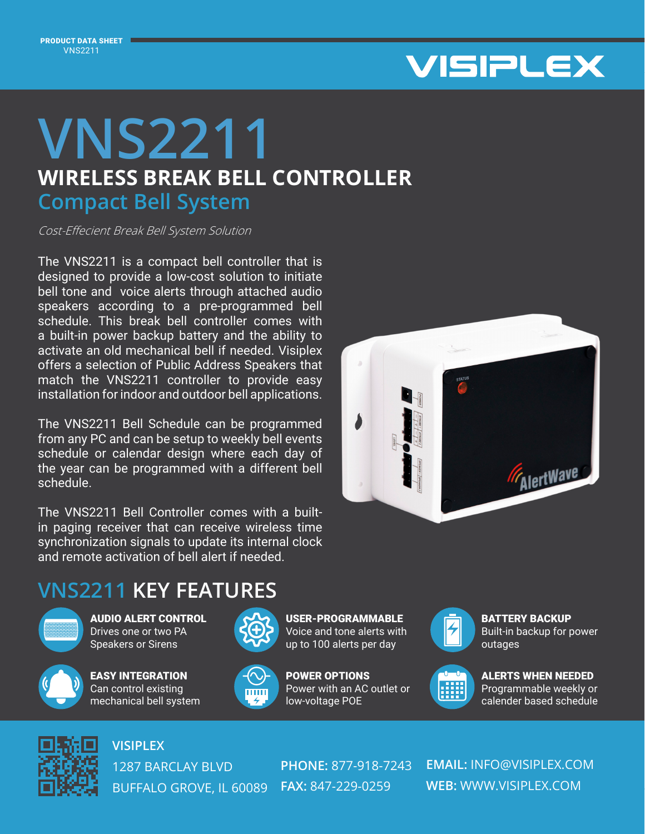

## **WIRELESS BREAK BELL CONTROLLER VNS2211 Compact Bell System**

Cost-Effecient Break Bell System Solution

The VNS2211 is a compact bell controller that is designed to provide a low-cost solution to initiate bell tone and voice alerts through attached audio speakers according to a pre-programmed bell schedule. This break bell controller comes with a built-in power backup battery and the ability to activate an old mechanical bell if needed. Visiplex offers a selection of Public Address Speakers that match the VNS2211 controller to provide easy installation for indoor and outdoor bell applications.

The VNS2211 Bell Schedule can be programmed from any PC and can be setup to weekly bell events schedule or calendar design where each day of the year can be programmed with a different bell schedule.

The VNS2211 Bell Controller comes with a builtin paging receiver that can receive wireless time synchronization signals to update its internal clock and remote activation of bell alert if needed.



## **VNS2211 KEY FEATURES**



AUDIO ALERT CONTROL Drives one or two PA Speakers or Sirens



EASY INTEGRATION Can control existing mechanical bell system







POWER OPTIONS Power with an AC outlet or low-voltage POE



BATTERY BACKUP Built-in backup for power outages



ALERTS WHEN NEEDED Programmable weekly or calender based schedule



**VISIPLEX**

1287 BARCLAY BLVD BUFFALO GROVE, IL 60089 **FAX:** 847-229-0259

**PHONE:** 877-918-7243

**EMAIL:** INFO@VISIPLEX.COM **WEB:** WWW.VISIPLEX.COM